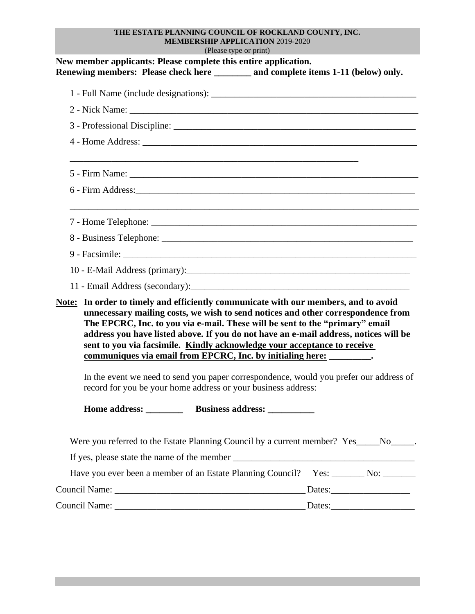## **THE ESTATE PLANNING COUNCIL OF ROCKLAND COUNTY, INC. MEMBERSHIP APPLICATION** 2019-2020

(Please type or print)

| New member applicants: Please complete this entire application.<br>Renewing members: Please check here _______ and complete items 1-11 (below) only.                                                                                                                                                                                                                                                                                                                                                 |  |
|------------------------------------------------------------------------------------------------------------------------------------------------------------------------------------------------------------------------------------------------------------------------------------------------------------------------------------------------------------------------------------------------------------------------------------------------------------------------------------------------------|--|
|                                                                                                                                                                                                                                                                                                                                                                                                                                                                                                      |  |
| 2 - Nick Name:                                                                                                                                                                                                                                                                                                                                                                                                                                                                                       |  |
|                                                                                                                                                                                                                                                                                                                                                                                                                                                                                                      |  |
|                                                                                                                                                                                                                                                                                                                                                                                                                                                                                                      |  |
|                                                                                                                                                                                                                                                                                                                                                                                                                                                                                                      |  |
|                                                                                                                                                                                                                                                                                                                                                                                                                                                                                                      |  |
|                                                                                                                                                                                                                                                                                                                                                                                                                                                                                                      |  |
|                                                                                                                                                                                                                                                                                                                                                                                                                                                                                                      |  |
|                                                                                                                                                                                                                                                                                                                                                                                                                                                                                                      |  |
|                                                                                                                                                                                                                                                                                                                                                                                                                                                                                                      |  |
|                                                                                                                                                                                                                                                                                                                                                                                                                                                                                                      |  |
| Note: In order to timely and efficiently communicate with our members, and to avoid<br>unnecessary mailing costs, we wish to send notices and other correspondence from<br>The EPCRC, Inc. to you via e-mail. These will be sent to the "primary" email<br>address you have listed above. If you do not have an e-mail address, notices will be<br>sent to you via facsimile. Kindly acknowledge your acceptance to receive<br>communiques via email from EPCRC, Inc. by initialing here: _________. |  |
| In the event we need to send you paper correspondence, would you prefer our address of<br>record for you be your home address or your business address:                                                                                                                                                                                                                                                                                                                                              |  |
|                                                                                                                                                                                                                                                                                                                                                                                                                                                                                                      |  |
| Were you referred to the Estate Planning Council by a current member? Yes _______ No _______.                                                                                                                                                                                                                                                                                                                                                                                                        |  |
|                                                                                                                                                                                                                                                                                                                                                                                                                                                                                                      |  |
| Have you ever been a member of an Estate Planning Council? Yes: _______ No: _______                                                                                                                                                                                                                                                                                                                                                                                                                  |  |
|                                                                                                                                                                                                                                                                                                                                                                                                                                                                                                      |  |
|                                                                                                                                                                                                                                                                                                                                                                                                                                                                                                      |  |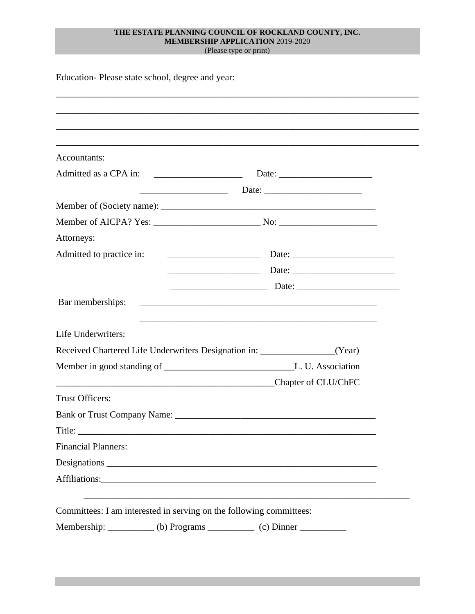## **THE ESTATE PLANNING COUNCIL OF ROCKLAND COUNTY, INC. MEMBERSHIP APPLICATION** 2019-2020

(Please type or print)

| Accountants:                |                                                                                                                  |  |  |
|-----------------------------|------------------------------------------------------------------------------------------------------------------|--|--|
|                             |                                                                                                                  |  |  |
|                             |                                                                                                                  |  |  |
|                             |                                                                                                                  |  |  |
|                             |                                                                                                                  |  |  |
| Attorneys:                  |                                                                                                                  |  |  |
|                             |                                                                                                                  |  |  |
|                             |                                                                                                                  |  |  |
|                             |                                                                                                                  |  |  |
| Bar memberships:            |                                                                                                                  |  |  |
|                             | and the control of the control of the control of the control of the control of the control of the control of the |  |  |
| Life Underwriters:          |                                                                                                                  |  |  |
|                             | Received Chartered Life Underwriters Designation in: ____________________(Year)                                  |  |  |
|                             |                                                                                                                  |  |  |
|                             | <b>Chapter of CLU/ChFC</b>                                                                                       |  |  |
| <b>Trust Officers:</b>      |                                                                                                                  |  |  |
| Bank or Trust Company Name: |                                                                                                                  |  |  |
|                             |                                                                                                                  |  |  |
| <b>Financial Planners:</b>  |                                                                                                                  |  |  |
|                             |                                                                                                                  |  |  |
|                             |                                                                                                                  |  |  |